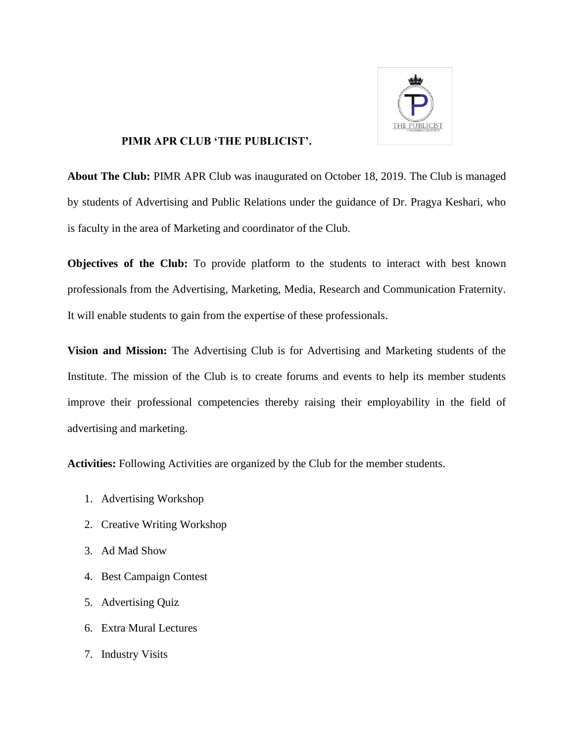

## **PIMR APR CLUB 'THE PUBLICIST'.**

**About The Club:** PIMR APR Club was inaugurated on October 18, 2019. The Club is managed by students of Advertising and Public Relations under the guidance of Dr. Pragya Keshari, who is faculty in the area of Marketing and coordinator of the Club.

**Objectives of the Club:** To provide platform to the students to interact with best known professionals from the Advertising, Marketing, Media, Research and Communication Fraternity. It will enable students to gain from the expertise of these professionals.

**Vision and Mission:** The Advertising Club is for Advertising and Marketing students of the Institute. The mission of the Club is to create forums and events to help its member students improve their professional competencies thereby raising their employability in the field of advertising and marketing.

**Activities:** Following Activities are organized by the Club for the member students.

- 1. Advertising Workshop
- 2. Creative Writing Workshop
- 3. Ad Mad Show
- 4. Best Campaign Contest
- 5. Advertising Quiz
- 6. Extra Mural Lectures
- 7. Industry Visits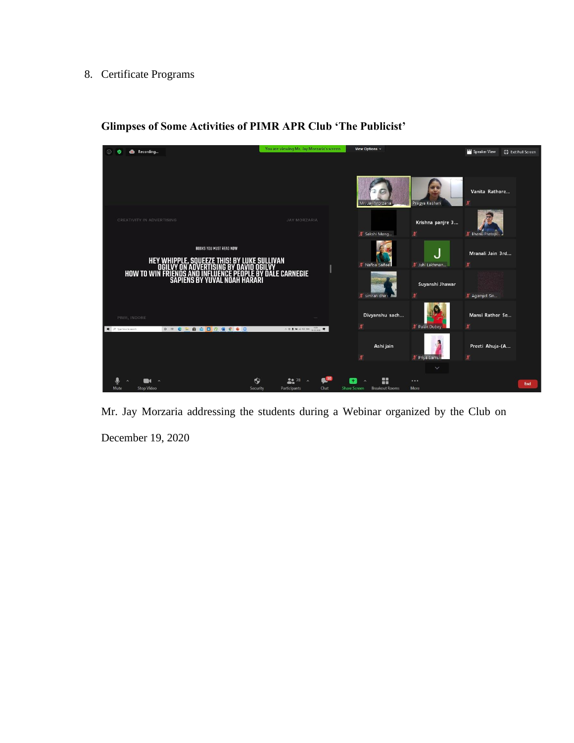## 8. Certificate Programs



**Glimpses of Some Activities of PIMR APR Club 'The Publicist'**

Mr. Jay Morzaria addressing the students during a Webinar organized by the Club on December 19, 2020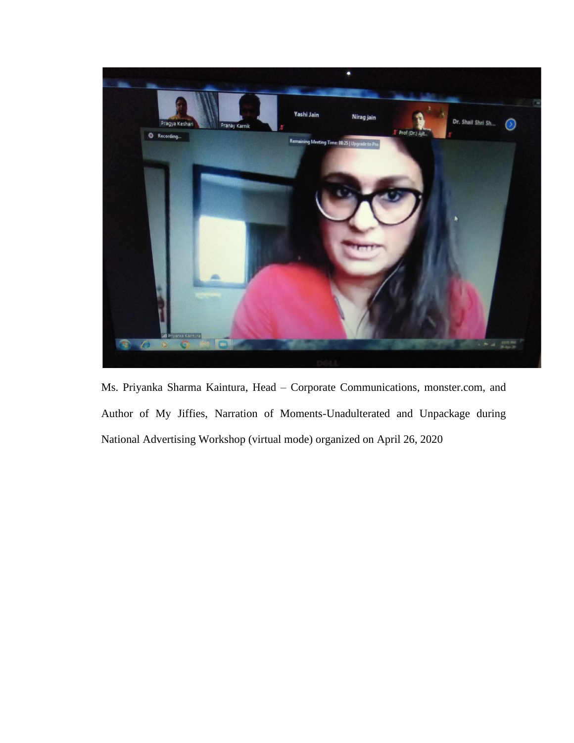

Ms. Priyanka Sharma Kaintura, Head – Corporate Communications, monster.com, and Author of My Jiffies, Narration of Moments-Unadulterated and Unpackage during National Advertising Workshop (virtual mode) organized on April 26, 2020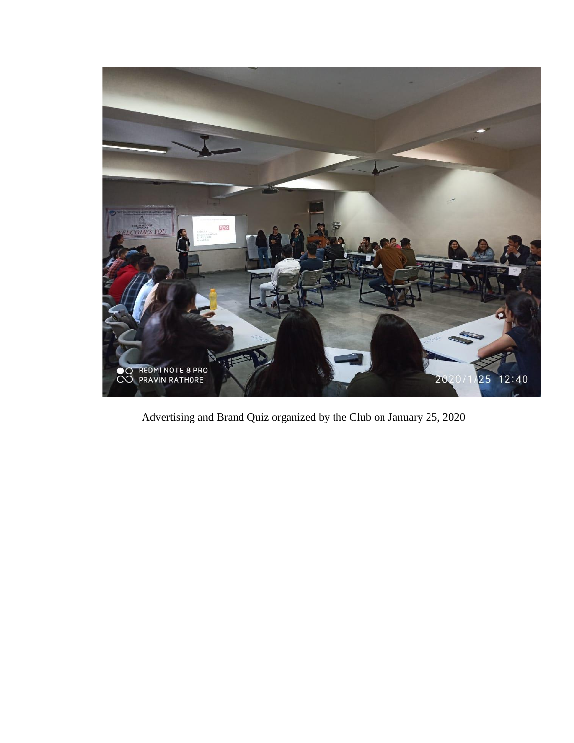

Advertising and Brand Quiz organized by the Club on January 25, 2020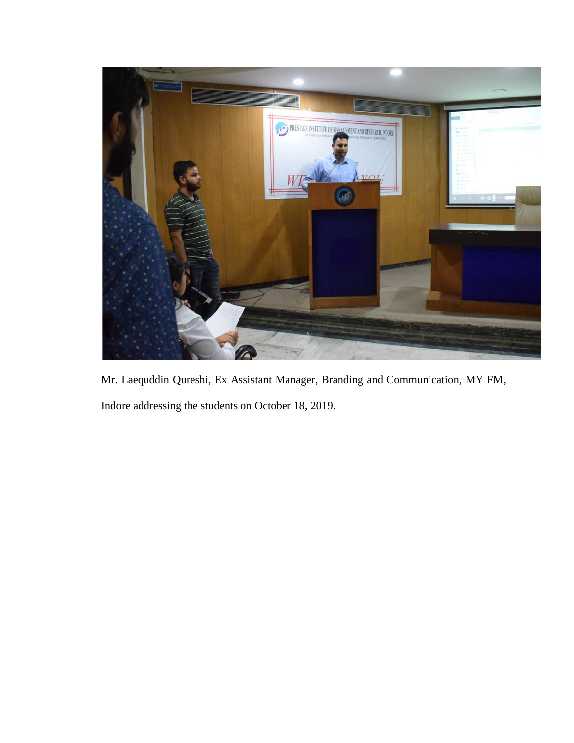

Mr. Laequddin Qureshi, Ex Assistant Manager, Branding and Communication, MY FM, Indore addressing the students on October 18, 2019.